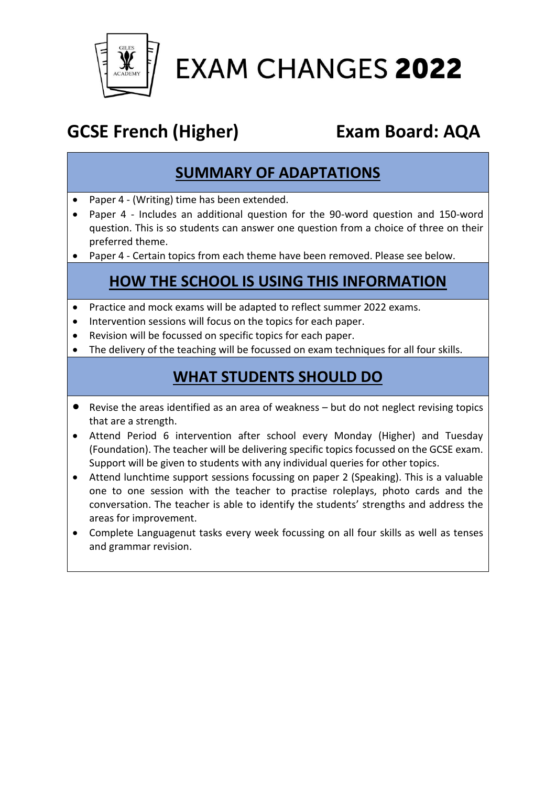

# **EXAM CHANGES 2022**

# **GCSE French (Higher) Exam Board: AQA**

#### **SUMMARY OF ADAPTATIONS**

- Paper 4 (Writing) time has been extended.
- Paper 4 Includes an additional question for the 90-word question and 150-word question. This is so students can answer one question from a choice of three on their preferred theme.
- Paper 4 Certain topics from each theme have been removed. Please see below.

### **HOW THE SCHOOL IS USING THIS INFORMATION**

- Practice and mock exams will be adapted to reflect summer 2022 exams.
- Intervention sessions will focus on the topics for each paper.
- Revision will be focussed on specific topics for each paper.
- The delivery of the teaching will be focussed on exam techniques for all four skills.

#### **WHAT STUDENTS SHOULD DO**

- Revise the areas identified as an area of weakness but do not neglect revising topics that are a strength.
- Attend Period 6 intervention after school every Monday (Higher) and Tuesday (Foundation). The teacher will be delivering specific topics focussed on the GCSE exam. Support will be given to students with any individual queries for other topics.
- Attend lunchtime support sessions focussing on paper 2 (Speaking). This is a valuable one to one session with the teacher to practise roleplays, photo cards and the conversation. The teacher is able to identify the students' strengths and address the areas for improvement.
- Complete Languagenut tasks every week focussing on all four skills as well as tenses and grammar revision.